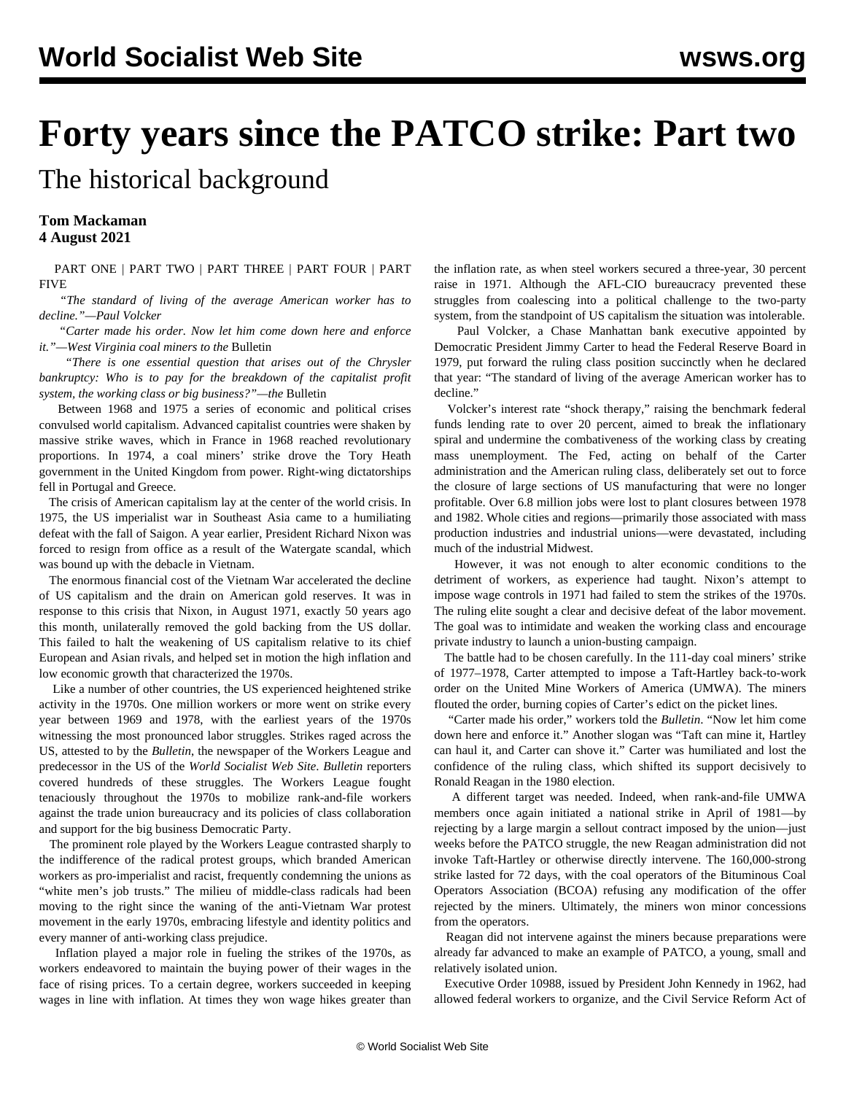## **Forty years since the PATCO strike: Part two**

The historical background

**Tom Mackaman 4 August 2021**

 [PART ONE](/en/articles/2021/08/03/patc-a03.html) | [PART TWO](/en/articles/2021/08/04/pat2-a04.html) | [PART THREE](/en/articles/2021/08/07/patc-a07.html) | [PART FOUR](/en/articles/2021/08/09/patc-a09.html) | [PART](/en/articles/2021/08/12/patc-a12.html) [FIVE](/en/articles/2021/08/12/patc-a12.html)

 *"The standard of living of the average American worker has to decline."—Paul Volcker*

 *"Carter made his order. Now let him come down here and enforce it."—West Virginia coal miners to the* Bulletin

 *"There is one essential question that arises out of the Chrysler bankruptcy: Who is to pay for the breakdown of the capitalist profit system, the working class or big business?"—the* Bulletin

 Between 1968 and 1975 a series of economic and political crises convulsed world capitalism. Advanced capitalist countries were shaken by massive strike waves, which in France in 1968 reached revolutionary proportions. In 1974, a coal miners' strike drove the Tory Heath government in the United Kingdom from power. Right-wing dictatorships fell in Portugal and Greece.

 The crisis of American capitalism lay at the center of the world crisis. In 1975, the US imperialist war in Southeast Asia came to a humiliating defeat with the fall of Saigon. A year earlier, President Richard Nixon was forced to resign from office as a result of the Watergate scandal, which was bound up with the debacle in Vietnam.

 The enormous financial cost of the Vietnam War accelerated the decline of US capitalism and the drain on American gold reserves. It was in response to this crisis that Nixon, in August 1971, exactly 50 years ago this month, unilaterally removed the gold backing from the US dollar. This failed to halt the weakening of US capitalism relative to its chief European and Asian rivals, and helped set in motion the high inflation and low economic growth that characterized the 1970s.

 Like a number of other countries, the US experienced heightened strike activity in the 1970s. One million workers or more went on strike every year between 1969 and 1978, with the earliest years of the 1970s witnessing the most pronounced labor struggles. Strikes raged across the US, attested to by the *Bulletin*, the newspaper of the Workers League and predecessor in the US of the *World Socialist Web Site*. *Bulletin* reporters covered hundreds of these struggles. The Workers League fought tenaciously throughout the 1970s to mobilize rank-and-file workers against the trade union bureaucracy and its policies of class collaboration and support for the big business Democratic Party.

 The prominent role played by the Workers League contrasted sharply to the indifference of the radical protest groups, which branded American workers as pro-imperialist and racist, frequently condemning the unions as "white men's job trusts." The milieu of middle-class radicals had been moving to the right since the waning of the anti-Vietnam War protest movement in the early 1970s, embracing lifestyle and identity politics and every manner of anti-working class prejudice.

 Inflation played a major role in fueling the strikes of the 1970s, as workers endeavored to maintain the buying power of their wages in the face of rising prices. To a certain degree, workers succeeded in keeping wages in line with inflation. At times they won wage hikes greater than the inflation rate, as when steel workers secured a three-year, 30 percent raise in 1971. Although the AFL-CIO bureaucracy prevented these struggles from coalescing into a political challenge to the two-party system, from the standpoint of US capitalism the situation was intolerable.

 Paul Volcker, a Chase Manhattan bank executive appointed by Democratic President Jimmy Carter to head the Federal Reserve Board in 1979, put forward the ruling class position succinctly when he declared that year: "The standard of living of the average American worker has to decline."

 Volcker's interest rate "shock therapy," raising the benchmark federal funds lending rate to over 20 percent, aimed to break the inflationary spiral and undermine the combativeness of the working class by creating mass unemployment. The Fed, acting on behalf of the Carter administration and the American ruling class, deliberately set out to force the closure of large sections of US manufacturing that were no longer profitable. Over 6.8 million jobs were lost to plant closures between 1978 and 1982. Whole cities and regions—primarily those associated with mass production industries and industrial unions—were devastated, including much of the industrial Midwest.

 However, it was not enough to alter economic conditions to the detriment of workers, as experience had taught. Nixon's attempt to impose wage controls in 1971 had failed to stem the strikes of the 1970s. The ruling elite sought a clear and decisive defeat of the labor movement. The goal was to intimidate and weaken the working class and encourage private industry to launch a union-busting campaign.

 The battle had to be chosen carefully. In the 111-day coal miners' strike of 1977–1978, Carter attempted to impose a Taft-Hartley back-to-work order on the United Mine Workers of America (UMWA). The miners flouted the order, burning copies of Carter's edict on the picket lines.

 "Carter made his order," workers told the *Bulletin*. "Now let him come down here and enforce it." Another slogan was "Taft can mine it, Hartley can haul it, and Carter can shove it." Carter was humiliated and lost the confidence of the ruling class, which shifted its support decisively to Ronald Reagan in the 1980 election.

 A different target was needed. Indeed, when rank-and-file UMWA members once again initiated a national strike in April of 1981—by rejecting by a large margin a sellout contract imposed by the union—just weeks before the PATCO struggle, the new Reagan administration did not invoke Taft-Hartley or otherwise directly intervene. The 160,000-strong strike lasted for 72 days, with the coal operators of the Bituminous Coal Operators Association (BCOA) refusing any modification of the offer rejected by the miners. Ultimately, the miners won minor concessions from the operators.

 Reagan did not intervene against the miners because preparations were already far advanced to make an example of PATCO, a young, small and relatively isolated union.

 Executive Order 10988, issued by President John Kennedy in 1962, had allowed federal workers to organize, and the Civil Service Reform Act of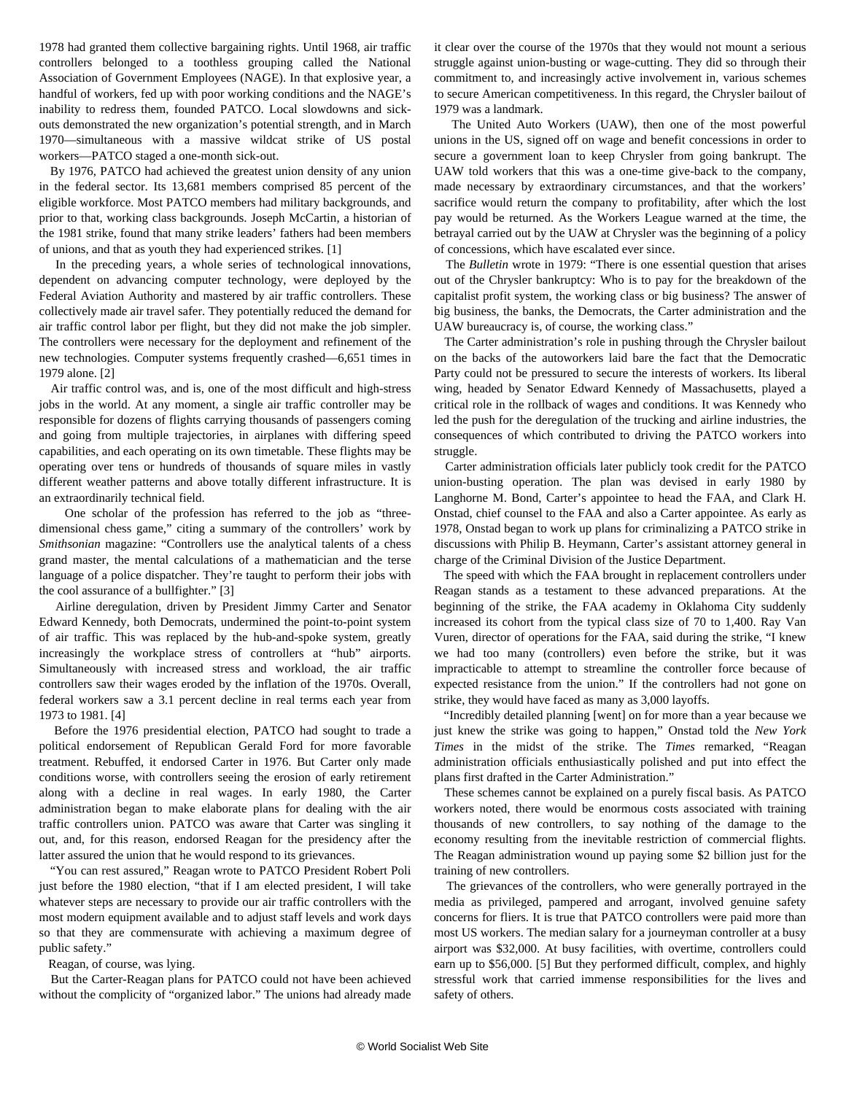1978 had granted them collective bargaining rights. Until 1968, air traffic controllers belonged to a toothless grouping called the National Association of Government Employees (NAGE). In that explosive year, a handful of workers, fed up with poor working conditions and the NAGE's inability to redress them, founded PATCO. Local slowdowns and sickouts demonstrated the new organization's potential strength, and in March 1970—simultaneous with a massive wildcat strike of US postal workers—PATCO staged a one-month sick-out.

 By 1976, PATCO had achieved the greatest union density of any union in the federal sector. Its 13,681 members comprised 85 percent of the eligible workforce. Most PATCO members had military backgrounds, and prior to that, working class backgrounds. Joseph McCartin, a historian of the 1981 strike, found that many strike leaders' fathers had been members of unions, and that as youth they had experienced strikes. [1]

 In the preceding years, a whole series of technological innovations, dependent on advancing computer technology, were deployed by the Federal Aviation Authority and mastered by air traffic controllers. These collectively made air travel safer. They potentially reduced the demand for air traffic control labor per flight, but they did not make the job simpler. The controllers were necessary for the deployment and refinement of the new technologies. Computer systems frequently crashed—6,651 times in 1979 alone. [2]

 Air traffic control was, and is, one of the most difficult and high-stress jobs in the world. At any moment, a single air traffic controller may be responsible for dozens of flights carrying thousands of passengers coming and going from multiple trajectories, in airplanes with differing speed capabilities, and each operating on its own timetable. These flights may be operating over tens or hundreds of thousands of square miles in vastly different weather patterns and above totally different infrastructure. It is an extraordinarily technical field.

 One scholar of the profession has referred to the job as "threedimensional chess game," citing a summary of the controllers' work by *Smithsonian* magazine: "Controllers use the analytical talents of a chess grand master, the mental calculations of a mathematician and the terse language of a police dispatcher. They're taught to perform their jobs with the cool assurance of a bullfighter." [3]

 Airline deregulation, driven by President Jimmy Carter and Senator Edward Kennedy, both Democrats, undermined the point-to-point system of air traffic. This was replaced by the hub-and-spoke system, greatly increasingly the workplace stress of controllers at "hub" airports. Simultaneously with increased stress and workload, the air traffic controllers saw their wages eroded by the inflation of the 1970s. Overall, federal workers saw a 3.1 percent decline in real terms each year from 1973 to 1981. [4]

 Before the 1976 presidential election, PATCO had sought to trade a political endorsement of Republican Gerald Ford for more favorable treatment. Rebuffed, it endorsed Carter in 1976. But Carter only made conditions worse, with controllers seeing the erosion of early retirement along with a decline in real wages. In early 1980, the Carter administration began to make elaborate plans for dealing with the air traffic controllers union. PATCO was aware that Carter was singling it out, and, for this reason, endorsed Reagan for the presidency after the latter assured the union that he would respond to its grievances.

 "You can rest assured," Reagan wrote to PATCO President Robert Poli just before the 1980 election, "that if I am elected president, I will take whatever steps are necessary to provide our air traffic controllers with the most modern equipment available and to adjust staff levels and work days so that they are commensurate with achieving a maximum degree of public safety."

Reagan, of course, was lying.

 But the Carter-Reagan plans for PATCO could not have been achieved without the complicity of "organized labor." The unions had already made it clear over the course of the 1970s that they would not mount a serious struggle against union-busting or wage-cutting. They did so through their commitment to, and increasingly active involvement in, various schemes to secure American competitiveness. In this regard, the Chrysler bailout of 1979 was a landmark.

 The United Auto Workers (UAW), then one of the most powerful unions in the US, signed off on wage and benefit concessions in order to secure a government loan to keep Chrysler from going bankrupt. The UAW told workers that this was a one-time give-back to the company, made necessary by extraordinary circumstances, and that the workers' sacrifice would return the company to profitability, after which the lost pay would be returned. As the Workers League warned at the time, the betrayal carried out by the UAW at Chrysler was the beginning of a policy of concessions, which have escalated ever since.

 The *Bulletin* wrote in 1979: "There is one essential question that arises out of the Chrysler bankruptcy: Who is to pay for the breakdown of the capitalist profit system, the working class or big business? The answer of big business, the banks, the Democrats, the Carter administration and the UAW bureaucracy is, of course, the working class."

 The Carter administration's role in pushing through the Chrysler bailout on the backs of the autoworkers laid bare the fact that the Democratic Party could not be pressured to secure the interests of workers. Its liberal wing, headed by Senator Edward Kennedy of Massachusetts, played a critical role in the rollback of wages and conditions. It was Kennedy who led the push for the deregulation of the trucking and airline industries, the consequences of which contributed to driving the PATCO workers into struggle.

 Carter administration officials later publicly took credit for the PATCO union-busting operation. The plan was devised in early 1980 by Langhorne M. Bond, Carter's appointee to head the FAA, and Clark H. Onstad, chief counsel to the FAA and also a Carter appointee. As early as 1978, Onstad began to work up plans for criminalizing a PATCO strike in discussions with Philip B. Heymann, Carter's assistant attorney general in charge of the Criminal Division of the Justice Department.

 The speed with which the FAA brought in replacement controllers under Reagan stands as a testament to these advanced preparations. At the beginning of the strike, the FAA academy in Oklahoma City suddenly increased its cohort from the typical class size of 70 to 1,400. Ray Van Vuren, director of operations for the FAA, said during the strike, "I knew we had too many (controllers) even before the strike, but it was impracticable to attempt to streamline the controller force because of expected resistance from the union." If the controllers had not gone on strike, they would have faced as many as 3,000 layoffs.

 "Incredibly detailed planning [went] on for more than a year because we just knew the strike was going to happen," Onstad told the *New York Times* in the midst of the strike. The *Times* remarked, "Reagan administration officials enthusiastically polished and put into effect the plans first drafted in the Carter Administration."

 These schemes cannot be explained on a purely fiscal basis. As PATCO workers noted, there would be enormous costs associated with training thousands of new controllers, to say nothing of the damage to the economy resulting from the inevitable restriction of commercial flights. The Reagan administration wound up paying some \$2 billion just for the training of new controllers.

 The grievances of the controllers, who were generally portrayed in the media as privileged, pampered and arrogant, involved genuine safety concerns for fliers. It is true that PATCO controllers were paid more than most US workers. The median salary for a journeyman controller at a busy airport was \$32,000. At busy facilities, with overtime, controllers could earn up to \$56,000. [5] But they performed difficult, complex, and highly stressful work that carried immense responsibilities for the lives and safety of others.